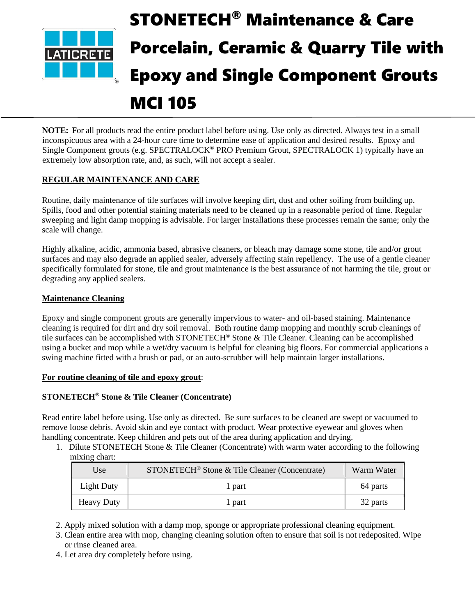

# STONETECH® Maintenance & Care Porcelain, Ceramic & Quarry Tile with Epoxy and Single Component Grouts

# MCI 105

**NOTE:** For all products read the entire product label before using. Use only as directed. Always test in a small inconspicuous area with a 24-hour cure time to determine ease of application and desired results. Epoxy and Single Component grouts (e.g. SPECTRALOCK<sup>®</sup> PRO Premium Grout, SPECTRALOCK 1) typically have an extremely low absorption rate, and, as such, will not accept a sealer.

# **REGULAR MAINTENANCE AND CARE**

Routine, daily maintenance of tile surfaces will involve keeping dirt, dust and other soiling from building up. Spills, food and other potential staining materials need to be cleaned up in a reasonable period of time. Regular sweeping and light damp mopping is advisable. For larger installations these processes remain the same; only the scale will change.

Highly alkaline, acidic, ammonia based, abrasive cleaners, or bleach may damage some stone, tile and/or grout surfaces and may also degrade an applied sealer, adversely affecting stain repellency. The use of a gentle cleaner specifically formulated for stone, tile and grout maintenance is the best assurance of not harming the tile, grout or degrading any applied sealers.

# **Maintenance Cleaning**

Epoxy and single component grouts are generally impervious to water- and oil-based staining. Maintenance cleaning is required for dirt and dry soil removal. Both routine damp mopping and monthly scrub cleanings of tile surfaces can be accomplished with STONETECH® Stone & Tile Cleaner. Cleaning can be accomplished using a bucket and mop while a wet/dry vacuum is helpful for cleaning big floors. For commercial applications a swing machine fitted with a brush or pad, or an auto-scrubber will help maintain larger installations.

# **For routine cleaning of tile and epoxy grout**:

# **STONETECH® Stone & Tile Cleaner (Concentrate)**

Read entire label before using. Use only as directed. Be sure surfaces to be cleaned are swept or vacuumed to remove loose debris. Avoid skin and eye contact with product. Wear protective eyewear and gloves when handling concentrate. Keep children and pets out of the area during application and drying.

1. Dilute STONETECH Stone & Tile Cleaner (Concentrate) with warm water according to the following mixing chart:

| Use               | STONETECH <sup>®</sup> Stone & Tile Cleaner (Concentrate) | Warm Water |
|-------------------|-----------------------------------------------------------|------------|
| Light Duty        | 1 part                                                    | 64 parts   |
| <b>Heavy Duty</b> | 1 part                                                    | 32 parts   |

2. Apply mixed solution with a damp mop, sponge or appropriate professional cleaning equipment.

- 3. Clean entire area with mop, changing cleaning solution often to ensure that soil is not redeposited. Wipe or rinse cleaned area.
- 4. Let area dry completely before using.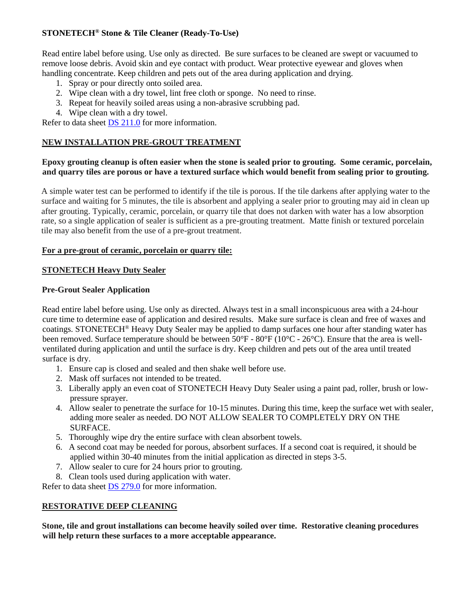# **STONETECH® Stone & Tile Cleaner (Ready-To-Use)**

Read entire label before using. Use only as directed. Be sure surfaces to be cleaned are swept or vacuumed to remove loose debris. Avoid skin and eye contact with product. Wear protective eyewear and gloves when handling concentrate. Keep children and pets out of the area during application and drying.

- 1. Spray or pour directly onto soiled area.
- 2. Wipe clean with a dry towel, lint free cloth or sponge. No need to rinse.
- 3. Repeat for heavily soiled areas using a non-abrasive scrubbing pad.
- 4. Wipe clean with a dry towel.

Refer to data sheet [DS 211.0](https://cdn.laticrete.com/~/media/product-documents/product-data-sheets/ds-211.ashx) for more information.

#### **NEW INSTALLATION PRE-GROUT TREATMENT**

#### **Epoxy grouting cleanup is often easier when the stone is sealed prior to grouting. Some ceramic, porcelain, and quarry tiles are porous or have a textured surface which would benefit from sealing prior to grouting.**

A simple water test can be performed to identify if the tile is porous. If the tile darkens after applying water to the surface and waiting for 5 minutes, the tile is absorbent and applying a sealer prior to grouting may aid in clean up after grouting. Typically, ceramic, porcelain, or quarry tile that does not darken with water has a low absorption rate, so a single application of sealer is sufficient as a pre-grouting treatment. Matte finish or textured porcelain tile may also benefit from the use of a pre-grout treatment.

#### **For a pre-grout of ceramic, porcelain or quarry tile:**

#### **STONETECH Heavy Duty Sealer**

#### **Pre-Grout Sealer Application**

Read entire label before using. Use only as directed. Always test in a small inconspicuous area with a 24-hour cure time to determine ease of application and desired results. Make sure surface is clean and free of waxes and coatings. STONETECH® Heavy Duty Sealer may be applied to damp surfaces one hour after standing water has been removed. Surface temperature should be between 50°F - 80°F (10°C - 26°C). Ensure that the area is wellventilated during application and until the surface is dry. Keep children and pets out of the area until treated surface is dry.

- 1. Ensure cap is closed and sealed and then shake well before use.
- 2. Mask off surfaces not intended to be treated.
- 3. Liberally apply an even coat of STONETECH Heavy Duty Sealer using a paint pad, roller, brush or lowpressure sprayer.
- 4. Allow sealer to penetrate the surface for 10-15 minutes. During this time, keep the surface wet with sealer, adding more sealer as needed. DO NOT ALLOW SEALER TO COMPLETELY DRY ON THE SURFACE.
- 5. Thoroughly wipe dry the entire surface with clean absorbent towels.
- 6. A second coat may be needed for porous, absorbent surfaces. If a second coat is required, it should be applied within 30-40 minutes from the initial application as directed in steps 3-5.
- 7. Allow sealer to cure for 24 hours prior to grouting.
- 8. Clean tools used during application with water.

Refer to data sheet [DS 279.0](https://cdn.laticrete.com/~/media/product-documents/product-data-sheets/ds-279.ashx) for more information.

# **RESTORATIVE DEEP CLEANING**

**Stone, tile and grout installations can become heavily soiled over time. Restorative cleaning procedures will help return these surfaces to a more acceptable appearance.**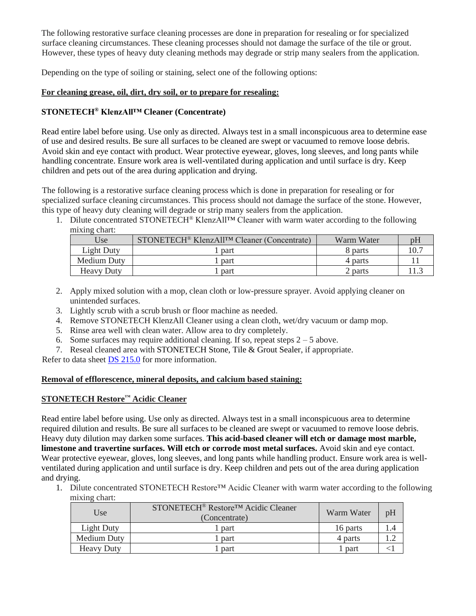The following restorative surface cleaning processes are done in preparation for resealing or for specialized surface cleaning circumstances. These cleaning processes should not damage the surface of the tile or grout. However, these types of heavy duty cleaning methods may degrade or strip many sealers from the application.

Depending on the type of soiling or staining, select one of the following options:

#### **For cleaning grease, oil, dirt, dry soil, or to prepare for resealing:**

# **STONETECH® KlenzAll™ Cleaner (Concentrate)**

Read entire label before using. Use only as directed. Always test in a small inconspicuous area to determine ease of use and desired results. Be sure all surfaces to be cleaned are swept or vacuumed to remove loose debris. Avoid skin and eye contact with product. Wear protective eyewear, gloves, long sleeves, and long pants while handling concentrate. Ensure work area is well-ventilated during application and until surface is dry. Keep children and pets out of the area during application and drying.

The following is a restorative surface cleaning process which is done in preparation for resealing or for specialized surface cleaning circumstances. This process should not damage the surface of the stone. However, this type of heavy duty cleaning will degrade or strip many sealers from the application.

1. Dilute concentrated STONETECH® KlenzAll™ Cleaner with warm water according to the following mixing chart:

| Use               | STONETECH <sup>®</sup> KlenzAll <sup>™</sup> Cleaner (Concentrate) | Warm Water | p <sub>H</sub> |
|-------------------|--------------------------------------------------------------------|------------|----------------|
| Light Duty        | part                                                               | 8 parts    |                |
| Medium Duty       | part                                                               | 4 parts    |                |
| <b>Heavy Duty</b> | part                                                               | 2 parts    |                |

- 2. Apply mixed solution with a mop, clean cloth or low-pressure sprayer. Avoid applying cleaner on unintended surfaces.
- 3. Lightly scrub with a scrub brush or floor machine as needed.
- 4. Remove STONETECH KlenzAll Cleaner using a clean cloth, wet/dry vacuum or damp mop.
- 5. Rinse area well with clean water. Allow area to dry completely.
- 6. Some surfaces may require additional cleaning. If so, repeat steps  $2 5$  above.
- 7. Reseal cleaned area with STONETECH Stone, Tile & Grout Sealer, if appropriate.

Refer to data sheet [DS 215.0](https://cdn.laticrete.com/~/media/product-documents/product-data-sheets/ds-215.ashx) for more information.

#### **Removal of efflorescence, mineral deposits, and calcium based staining:**

# **STONETECH Restore™ Acidic Cleaner**

Read entire label before using. Use only as directed. Always test in a small inconspicuous area to determine required dilution and results. Be sure all surfaces to be cleaned are swept or vacuumed to remove loose debris. Heavy duty dilution may darken some surfaces. **This acid-based cleaner will etch or damage most marble, limestone and travertine surfaces. Will etch or corrode most metal surfaces.** Avoid skin and eye contact. Wear protective eyewear, gloves, long sleeves, and long pants while handling product. Ensure work area is wellventilated during application and until surface is dry. Keep children and pets out of the area during application and drying.

1. Dilute concentrated STONETECH Restore™ Acidic Cleaner with warm water according to the following mixing chart:

| Use               | STONETECH <sup>®</sup> Restore <sup>™</sup> Acidic Cleaner<br>(Concentrate) | Warm Water | pH |
|-------------------|-----------------------------------------------------------------------------|------------|----|
| <b>Light Duty</b> | <sub>part</sub>                                                             | 16 parts   |    |
| Medium Duty       | <sub>part</sub>                                                             | 4 parts    |    |
| <b>Heavy Duty</b> | part                                                                        | part       |    |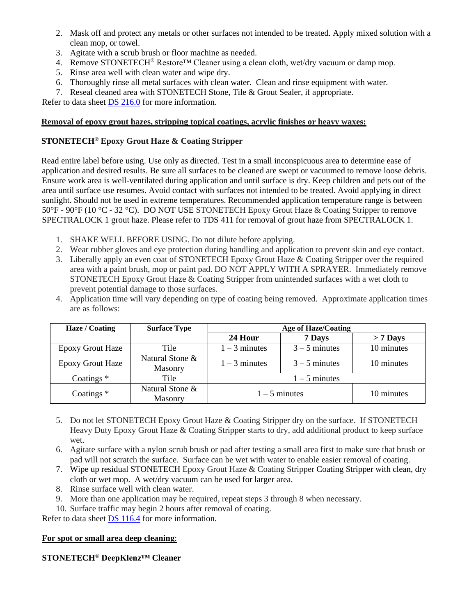- 2. Mask off and protect any metals or other surfaces not intended to be treated. Apply mixed solution with a clean mop, or towel.
- 3. Agitate with a scrub brush or floor machine as needed.
- 4. Remove STONETECH<sup>®</sup> Restore<sup>TM</sup> Cleaner using a clean cloth, wet/dry vacuum or damp mop.
- 5. Rinse area well with clean water and wipe dry.
- 6. Thoroughly rinse all metal surfaces with clean water. Clean and rinse equipment with water.
- 7. Reseal cleaned area with STONETECH Stone, Tile & Grout Sealer, if appropriate.

Refer to data sheet [DS 216.0](https://cdn.laticrete.com/~/media/product-documents/product-data-sheets/ds-216.ashx) for more information.

### **Removal of epoxy grout hazes, stripping topical coatings, acrylic finishes or heavy waxes:**

# **STONETECH® Epoxy Grout Haze & Coating Stripper**

Read entire label before using. Use only as directed. Test in a small inconspicuous area to determine ease of application and desired results. Be sure all surfaces to be cleaned are swept or vacuumed to remove loose debris. Ensure work area is well-ventilated during application and until surface is dry. Keep children and pets out of the area until surface use resumes. Avoid contact with surfaces not intended to be treated. Avoid applying in direct sunlight. Should not be used in extreme temperatures. Recommended application temperature range is between 50°F - 90°F (10 °C - 32 °C). DO NOT USE STONETECH Epoxy Grout Haze & Coating Stripper to remove SPECTRALOCK 1 grout haze. Please refer to TDS 411 for removal of grout haze from SPECTRALOCK 1.

- 1. SHAKE WELL BEFORE USING. Do not dilute before applying.
- 2. Wear rubber gloves and eye protection during handling and application to prevent skin and eye contact.
- 3. Liberally apply an even coat of STONETECH Epoxy Grout Haze & Coating Stripper over the required area with a paint brush, mop or paint pad. DO NOT APPLY WITH A SPRAYER. Immediately remove STONETECH Epoxy Grout Haze & Coating Stripper from unintended surfaces with a wet cloth to prevent potential damage to those surfaces.
- 4. Application time will vary depending on type of coating being removed. Approximate application times are as follows:

| Haze / Coating          | <b>Surface Type</b>               | <b>Age of Haze/Coating</b> |                 |            |
|-------------------------|-----------------------------------|----------------------------|-----------------|------------|
|                         |                                   | 24 Hour                    | 7 Days          | $> 7$ Days |
| <b>Epoxy Grout Haze</b> | Tile                              | $1 - 3$ minutes            | $3 - 5$ minutes | 10 minutes |
| <b>Epoxy Grout Haze</b> | Natural Stone &<br><b>Masonry</b> | $1 - 3$ minutes            | $3 - 5$ minutes | 10 minutes |
| Coatings $*$            | Tile                              | $1 - 5$ minutes            |                 |            |
| Coatings $*$            | Natural Stone &<br>Masonry        | $1 - 5$ minutes            |                 | 10 minutes |

- 5. Do not let STONETECH Epoxy Grout Haze & Coating Stripper dry on the surface. If STONETECH Heavy Duty Epoxy Grout Haze & Coating Stripper starts to dry, add additional product to keep surface wet.
- 6. Agitate surface with a nylon scrub brush or pad after testing a small area first to make sure that brush or pad will not scratch the surface. Surface can be wet with water to enable easier removal of coating.
- 7. Wipe up residual STONETECH Epoxy Grout Haze & Coating Stripper Coating Stripper with clean, dry cloth or wet mop. A wet/dry vacuum can be used for larger area.
- 8. Rinse surface well with clean water.
- 9. More than one application may be required, repeat steps 3 through 8 when necessary.
- 10. Surface traffic may begin 2 hours after removal of coating.

Refer to data sheet [DS 116.4](https://cdn.laticrete.com/~/media/product-documents/product-data-sheets/ds1664_stonetech-epoxy-grout-haze-coating-stripper.ashx) for more information.

# **For spot or small area deep cleaning**:

# **STONETECH® DeepKlenz™ Cleaner**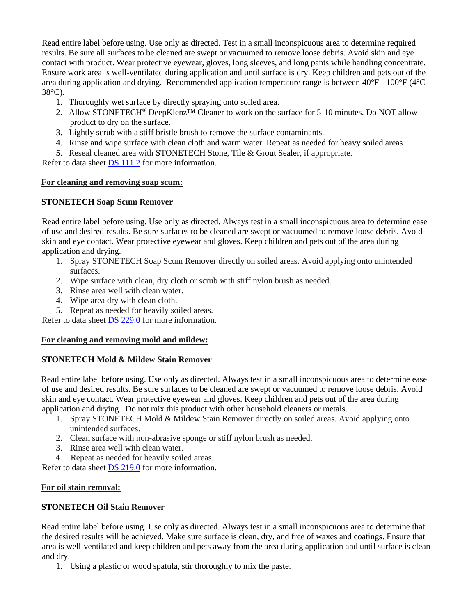Read entire label before using. Use only as directed. Test in a small inconspicuous area to determine required results. Be sure all surfaces to be cleaned are swept or vacuumed to remove loose debris. Avoid skin and eye contact with product. Wear protective eyewear, gloves, long sleeves, and long pants while handling concentrate. Ensure work area is well-ventilated during application and until surface is dry. Keep children and pets out of the area during application and drying. Recommended application temperature range is between 40°F - 100°F (4°C - 38°C).

- 1. Thoroughly wet surface by directly spraying onto soiled area.
- 2. Allow STONETECH® DeepKlenz™ Cleaner to work on the surface for 5-10 minutes. Do NOT allow product to dry on the surface.
- 3. Lightly scrub with a stiff bristle brush to remove the surface contaminants.
- 4. Rinse and wipe surface with clean cloth and warm water. Repeat as needed for heavy soiled areas.
- 5. Reseal cleaned area with STONETECH Stone, Tile & Grout Sealer, if appropriate.

Refer to data sheet **DS** 111.2 for more information.

#### **For cleaning and removing soap scum:**

#### **STONETECH Soap Scum Remover**

Read entire label before using. Use only as directed. Always test in a small inconspicuous area to determine ease of use and desired results. Be sure surfaces to be cleaned are swept or vacuumed to remove loose debris. Avoid skin and eye contact. Wear protective eyewear and gloves. Keep children and pets out of the area during application and drying.

- 1. Spray STONETECH Soap Scum Remover directly on soiled areas. Avoid applying onto unintended surfaces.
- 2. Wipe surface with clean, dry cloth or scrub with stiff nylon brush as needed.
- 3. Rinse area well with clean water.
- 4. Wipe area dry with clean cloth.
- 5. Repeat as needed for heavily soiled areas.

Refer to data sheet [DS 229.0](https://cdn.laticrete.com/~/media/product-documents/product-data-sheets/ds-229.ashx) for more information.

#### **For cleaning and removing mold and mildew:**

# **STONETECH Mold & Mildew Stain Remover**

Read entire label before using. Use only as directed. Always test in a small inconspicuous area to determine ease of use and desired results. Be sure surfaces to be cleaned are swept or vacuumed to remove loose debris. Avoid skin and eye contact. Wear protective eyewear and gloves. Keep children and pets out of the area during application and drying. Do not mix this product with other household cleaners or metals.

- 1. Spray STONETECH Mold & Mildew Stain Remover directly on soiled areas. Avoid applying onto unintended surfaces.
- 2. Clean surface with non-abrasive sponge or stiff nylon brush as needed.
- 3. Rinse area well with clean water.
- 4. Repeat as needed for heavily soiled areas.

Refer to data sheet **DS** 219.0 for more information.

#### **For oil stain removal:**

# **STONETECH Oil Stain Remover**

Read entire label before using. Use only as directed. Always test in a small inconspicuous area to determine that the desired results will be achieved. Make sure surface is clean, dry, and free of waxes and coatings. Ensure that area is well-ventilated and keep children and pets away from the area during application and until surface is clean and dry.

1. Using a plastic or wood spatula, stir thoroughly to mix the paste.